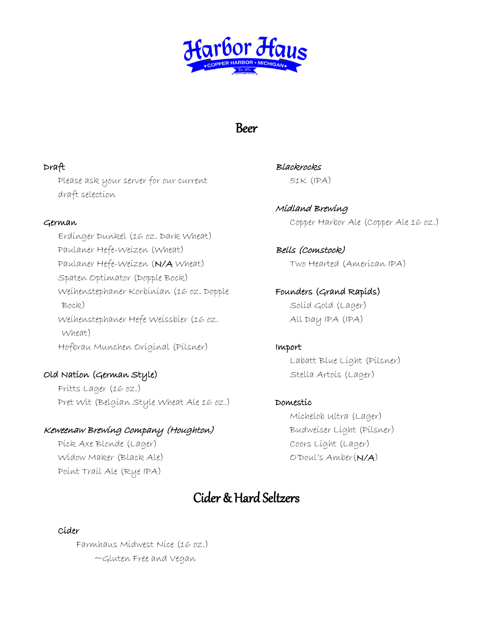

## Beer

#### Draft

Please ask your server for our current draft selection

#### German

Erdinger Dunkel (16 oz. Dark Wheat) Paulaner Hefe-Weizen (Wheat) Paulaner Hefe-Weizen (N/A Wheat) Spaten Optimator (Dopple Bock) Weihenstephaner Korbinian (16 oz. Dopple Bock) Weihenstephaner Hefe Weissbier (16 oz. Wheat) Hofbrau Munchen Original (Pilsner)

## Old Nation (German Style)

Fritts Lager (16 oz.) Pret Wit (Belgian Style Wheat Ale 16 oz.)

## Keweenaw Brewing Company (Houghton)

Pick Axe Blonde (Lager) Widow Maker (Black Ale) Point Trail Ale (Rye IPA)

**Blackrocks** 51K (IPA)

Midland Brewing Copper Harbor Ale (Copper Ale 16 oz.)

Bells (Comstock) Two Hearted (American IPA)

Founders (Grand Rapids) Solid Gold (Lager) All Day IPA (IPA)

#### Import

Labatt Blue Light (Pilsner) Stella Artois (Lager)

## Domestic

Michelob Ultra (Lager) Budweiser Light (Pilsner) Coors Light (Lager) O'Doul's Amber(N/A)

## Cider & Hard Seltzers

#### Cider

Farmhaus Midwest Nice (16 oz.) ~Gluten Free and Vegan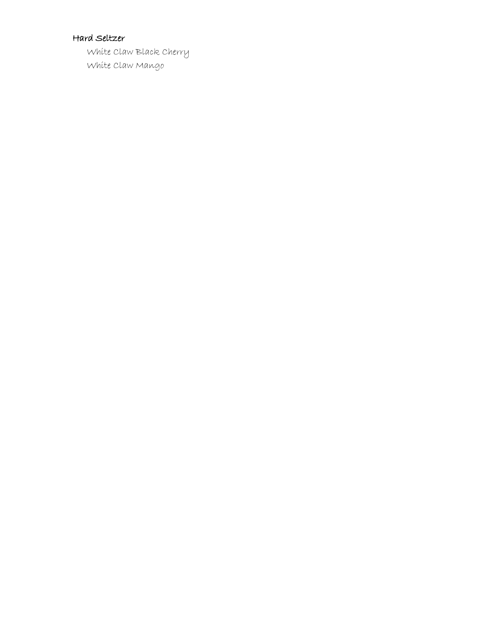#### Hard Seltzer

 White Claw Black Cherry White Claw Mango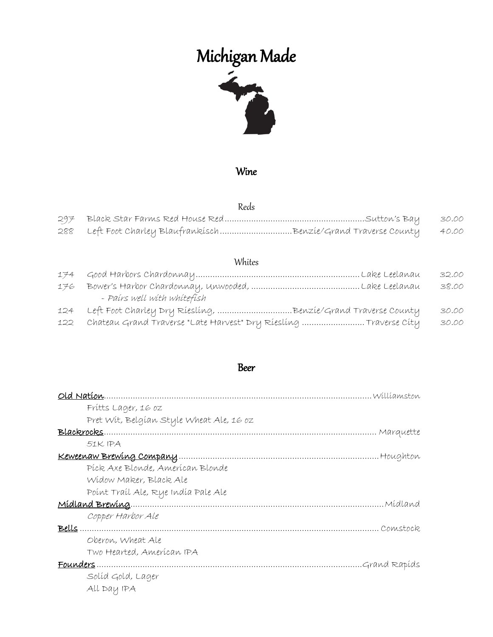# Michigan Made



#### Wine

#### Reds

|                                                                       | 30.00 |
|-----------------------------------------------------------------------|-------|
| 288 Left Foot Charley BlaufrankischBenzie/Grand Traverse County 40.00 |       |

## Whites

|     |                                                                       | 32.00 |
|-----|-----------------------------------------------------------------------|-------|
| 176 |                                                                       | 38.00 |
|     | - Paírs well with whitefish                                           |       |
|     | 124 Left Foot Charley Dry Riesling, Benzie/Grand Traverse County      | 30.00 |
|     | 122 Chateau Grand Traverse "Late Harvest" Dry Riesling  Traverse City | 30.00 |

#### Beer

| Marquette     |
|---------------|
|               |
|               |
|               |
|               |
|               |
| . Mídland     |
|               |
|               |
|               |
|               |
| Grand Rapíds. |
|               |
|               |
|               |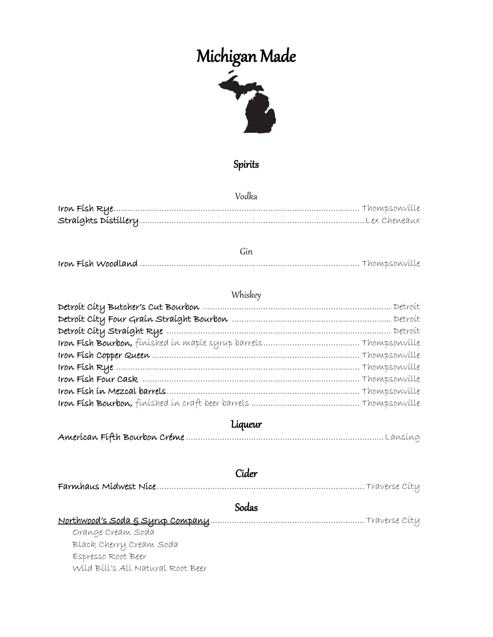# Michigan Made



## Spirits

Vodka

## Whiskey

## Liqueur

|                                   | Cider |
|-----------------------------------|-------|
|                                   |       |
|                                   | Sodas |
|                                   |       |
| Orange Cream Soda                 |       |
| Black Cherry Cream Soda           |       |
| Espresso Root Beer                |       |
| Wild Bill's All Natural Root Beer |       |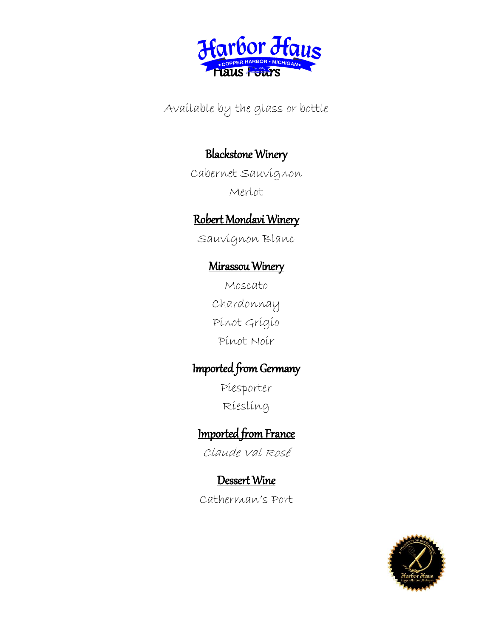

Available by the glass or bottle

## Blackstone Winery

Cabernet Sauvignon Merlot

## Robert Mondavi Winery

Sauvignon Blanc

## Mirassou Winery

Moscato Chardonnay Pinot Grigio Pinot Noir

## Imported from Germany

Piesporter Riesling

# Imported from France

Claude Val Rosé

## Dessert Wine

Catherman's Port

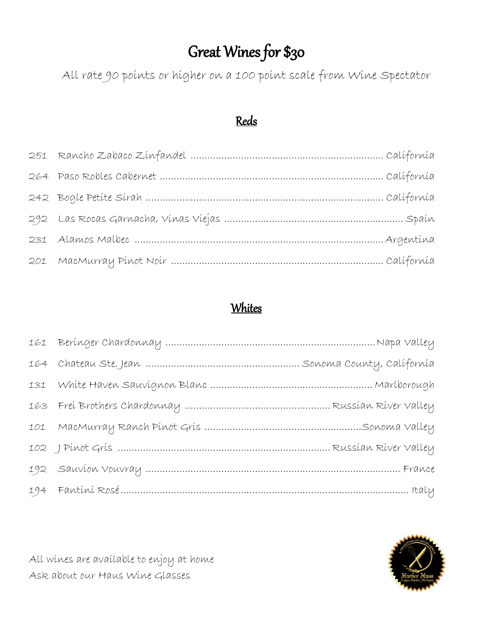# Great Wines for \$30

All rate 90 points or higher on a 100 point scale from Wine Spectator

## Reds

## **Whites**



All wines are available to enjoy at home Ask about our Haus Wine Glasses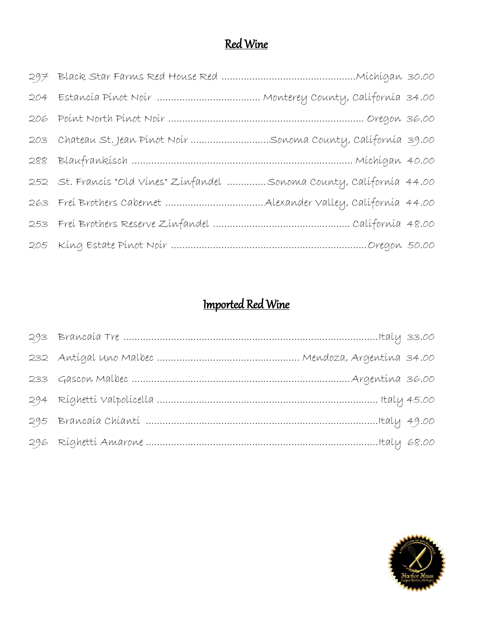# Red Wine

| 203 Chateau St. Jean Pinot Noir Sonoma County, California 39.00       |  |
|-----------------------------------------------------------------------|--|
|                                                                       |  |
| 252 St. Francis "Old Vines" Zinfandel Sonoma County, California 44.00 |  |
|                                                                       |  |
|                                                                       |  |
|                                                                       |  |

# Imported Red Wine

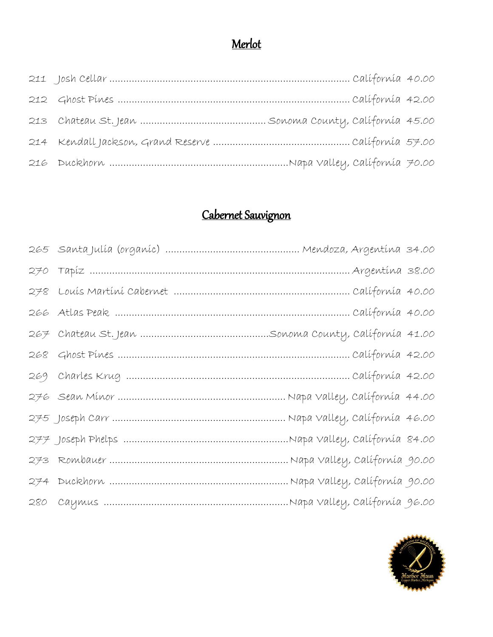## Merlot

# Cabernet Sauvignon

| 267   Chateau St. Jean ……………………………………Sonoma County, Calífornía  41.00 |  |
|-----------------------------------------------------------------------|--|
|                                                                       |  |
|                                                                       |  |
|                                                                       |  |
|                                                                       |  |
|                                                                       |  |
|                                                                       |  |
|                                                                       |  |
|                                                                       |  |

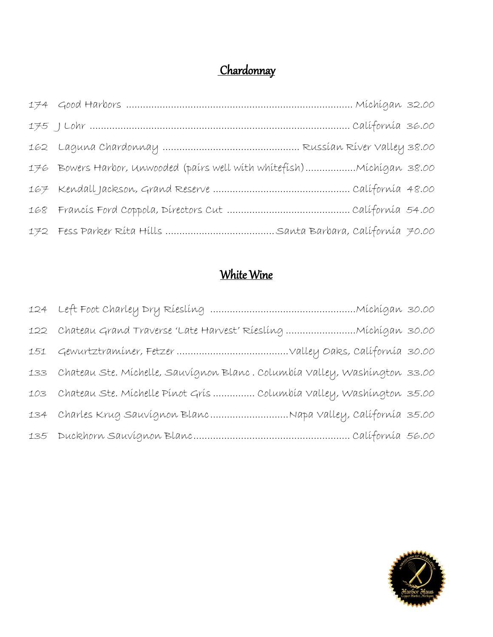# Chardonnay

| 176 Bowers Harbor, Unwooded (pairs well with whitefish) Michigan 38.00 |  |
|------------------------------------------------------------------------|--|
|                                                                        |  |
|                                                                        |  |
|                                                                        |  |

## White Wine

| 133 Chateau Ste. Míchelle, Sauvígnon Blanc. Columbía Valley, Washíngton 33.00 |  |
|-------------------------------------------------------------------------------|--|
| 103 Chateau Ste. Míchelle Pínot Grís  Columbía Valley, Washíngton 35.00       |  |
| 134 Charles Krug Sauvignon BlancNapa Valley, California 35.00                 |  |
|                                                                               |  |

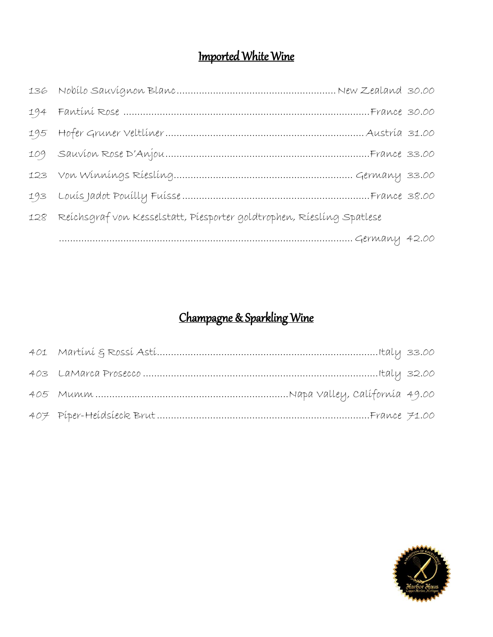# Imported White Wine

| 194 Fantíní Rose ……………………………………………………………………France 30.00                   |  |
|---------------------------------------------------------------------------|--|
|                                                                           |  |
|                                                                           |  |
|                                                                           |  |
|                                                                           |  |
| 128 Reichsgraf von Kesselstatt, Piesporter goldtrophen, Riesling Spatlese |  |
|                                                                           |  |

# Champagne & Sparkling Wine

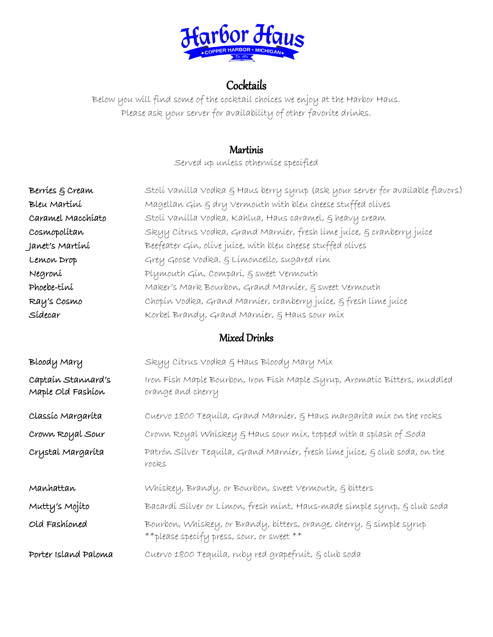

## **Cocktails**

Below you will find some of the cocktail choices we enjoy at the Harbor Haus. Please ask your server for availability of other favorite drinks.

## **Martinis**

Served up unless otherwise specified

| Berríes & Cream                         | Stolí Vanílla Vodka § Haus berry syrup (ask your server for avaílable flavors)                                     |
|-----------------------------------------|--------------------------------------------------------------------------------------------------------------------|
| Bleu Martíní                            | Magellan Gin & dry vermouth with bleu cheese stuffed olives                                                        |
| Caramel Macchiato                       | Stolí Vanílla Vodka, Kahlua, Haus caramel, § heavy cream                                                           |
| Cosmopolítan                            | Skyy Cítrus Vodka, Grand Marníer, fresh líme juíce, § cranberry juíce                                              |
| Janet's Martíní                         | Beefeater Gin, olive juice, with bleu cheese stuffed olives                                                        |
| Lemon Drop                              | Grey Goose Vodka, & Límoncello, sugared rím                                                                        |
| Negroni                                 | Plymouth Gin, Compari, & sweet Vermouth                                                                            |
| Phoebe-tini                             | Maker's Mark Bourbon, Grand Marníer, § sweet Vermouth                                                              |
| Ray's Cosmo                             | Chopín Vodka, Grand Marníer, cranberry juíce, § fresh líme juíce                                                   |
| Sídecar                                 | Korbel Brandy, Grand Marnier, § Haus sour mix                                                                      |
|                                         | Mixed Drinks                                                                                                       |
| Bloody Mary                             | Skyy Cítrus Vodka & Haus Bloody Mary Míx                                                                           |
| Captaín Stannard's<br>Maple Old Fashíon | Iron Fish Maple Bourbon, Iron Fish Maple Syrup, Aromatic Bitters, muddled<br>orange and cherry                     |
| Classíc Margaríta                       | Cuervo 1800 Tequíla, Grand Marníer, § Haus margaríta míx on the rocks                                              |
| Crown Royal Sour                        | Crown Royal Whiskey & Haus sour mix, topped with a splash of Soda                                                  |
| Crystal Margaríta                       | Patrón Sílver Tequíla, Grand Marníer, fresh líme juíce, § club soda, on the<br>rocks                               |
| Manhattan                               | Whiskey, Brandy, or Bourbon, sweet Vermouth, § bitters                                                             |
| Mutty's Mojíto                          | Bacardí Sílver or Límon, fresh mínt, Haus-made símple syrup, § club soda                                           |
| Old Fashioned                           | Bourbon, Whiskey, or Brandy, bitters, orange, cherry, § simple syrup<br>** please specify press, sour, or sweet ** |
| Porter Island Paloma                    | Cuervo 1800 Tequila, ruby red grapefruit, § club soda                                                              |
|                                         |                                                                                                                    |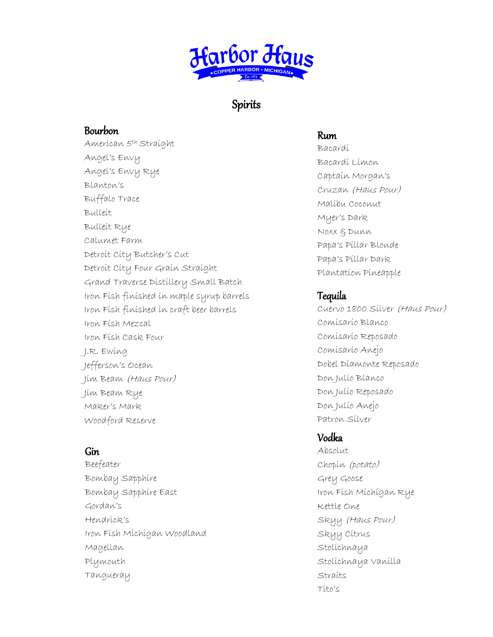

## Spirits

#### Bourbon

American 5th Straight Angel's Envy Angel's Envy Rye Blanton's Buffalo Trace Bulleit Bulleit Rye Calumet Farm Detroit City Butcher's Cut Detroit City Four Grain Straight Grand Traverse Distillery Small Batch Iron Fish finished in maple syrup barrels Iron Fish finished in craft beer barrels Iron Fish Mezcal Iron Fish Cask Four J.R. Ewing Jefferson's Ocean Jim Beam (Haus Pour) Jim Beam Rye Maker's Mark Woodford Reserve

## Gin

Beefeater Bombay Sapphire Bombay Sapphire East Gordan's Hendrick's Iron Fish Michigan Woodland Magellan Plymouth Tangueray

#### Rum

Bacardi Bacardi Limon Captain Morgan's Cruzan (Haus Pour) Malibu Coconut Myer's Dark Noxx & Dunn Papa's Pillar Blonde Papa's Pillar Dark Plantation Pineapple

#### Tequila

Cuervo 1800 Silver (Haus Pour) Comisario Blanco Comisario Reposado Comisario Anejo Dobel Diamonte Reposado Don Julio Blanco Don Julio Reposado Don Julio Anejo Patron Silver

## Vodka

Absolut Chopin (potato) Grey Goose Iron Fish Michigan Rye Kettle One Skyy (Haus Pour) Skyy Citrus Stolichnaya Stolichnaya Vanilla Straits Tito's